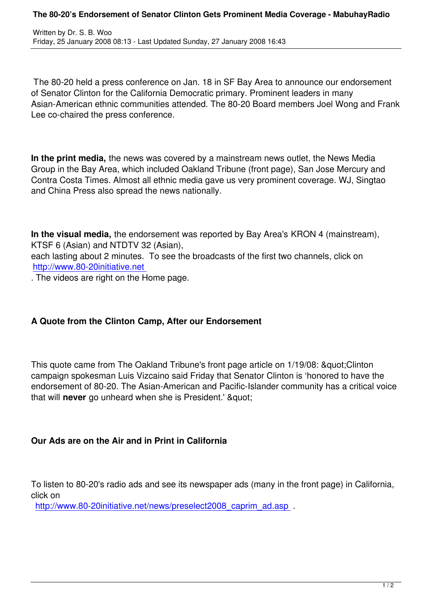The 80-20 held a press conference on Jan. 18 in SF Bay Area to announce our endorsement of Senator Clinton for the California Democratic primary. Prominent leaders in many Asian-American ethnic communities attended. The 80-20 Board members Joel Wong and Frank Lee co-chaired the press conference.

**In the print media,** the news was covered by a mainstream news outlet, the News Media Group in the Bay Area, which included Oakland Tribune (front page), San Jose Mercury and Contra Costa Times. Almost all ethnic media gave us very prominent coverage. WJ, Singtao and China Press also spread the news nationally.

**In the visual media,** the endorsement was reported by Bay Area's KRON 4 (mainstream), KTSF 6 (Asian) and NTDTV 32 (Asian),

each lasting about 2 minutes. To see the broadcasts of the first two channels, click on http://www.80-20initiative.net

. The videos are right on the Home page.

## **A Quote from the Clinton Camp, After our Endorsement**

This quote came from The Oakland Tribune's front page article on 1/19/08: & quot: Clinton campaign spokesman Luis Vizcaino said Friday that Senator Clinton is 'honored to have the endorsement of 80-20. The Asian-American and Pacific-Islander community has a critical voice that will **never** go unheard when she is President.' & quot:

## **Our Ads are on the Air and in Print in California**

To listen to 80-20's radio ads and see its newspaper ads (many in the front page) in California, click on

http://www.80-20initiative.net/news/preselect2008 caprim ad.asp .